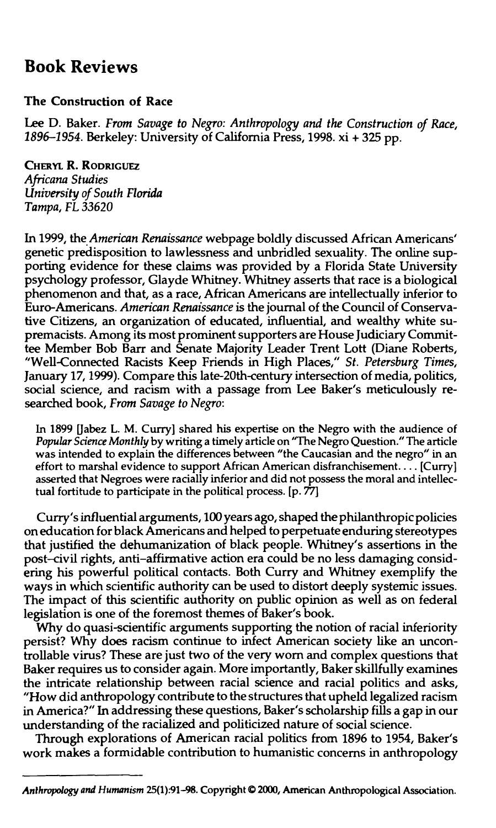## **Book Reviews**

## **The Construction of Race**

**Lee D. Baker.** *From Savage to Negro: Anthropology and the Construction of Race, 1896-1954.* **Berkeley: University of California Press, 1998. xi + 325 pp.**

**CHERYL R. RODRIGUEZ** *Africana Studies University of South Florida Tampa, FL 33620*

**In 1999, the** *American Renaissance* **webpage boldly discussed African Americans' genetic predisposition to lawlessness and unbridled sexuality. The online supporting evidence for these claims was provided by a Florida State University psychology professor, Glayde Whitney. Whitney asserts that race is a biological phenomenon and that, as a race, African Americans are intellectually inferior to Euro-Americans.** *American Renaissance* **is the journal of the Council of Conservative Citizens, an organization of educated, influential, and wealthy white supremacists. Among its most prominent supporters are House Judiciary Committee Member Bob Barr and Senate Majority Leader Trent Lott (Diane Roberts, "Well-Connected Racists Keep Friends in High Places,"** *St. Petersburg Times,* **January 17,1999). Compare this late-20th-century intersection of media, politics, social science, and racism with a passage from Lee Baker's meticulously researched book,** *From Savage to Negro:*

In 1899 [Jabez L. M. Curry] shared his expertise on the Negro with the audience of *Popular Science Monthly* by writing a timely article on "The Negro Question." The article was intended to explain the differences between "the Caucasian and the negro" in an effort to marshal evidence to support African American disfranchisement... [Curry] asserted that Negroes were racially inferior and did not possess the moral and intellectual fortitude to participate in the political process, [p. 77]

**Curry's influential arguments, 100 years ago, shaped the philanthropic policies on education for black Americans and helped to perpetuate enduring stereotypes that justified the dehumanization of black people. Whitney's assertions in the post-civil rights, anti-affirmative action era could be no less damaging considering his powerful political contacts. Both Curry and Whitney exemplify the ways in which scientific authority can be used to distort deeply systemic issues. The impact of this scientific authority on public opinion as well as on federal legislation is one of the foremost themes of Baker's book.**

**Why do quasi-scientific arguments supporting the notion of racial inferiority persist? Why does racism continue to infect American society like an uncontrollable virus? These are just two of the very worn and complex questions that Baker requires us to consider again. More importantly, Baker skillfully examines the intricate relationship between racial science and racial politics and asks, "How did anthropology contribute to the structures that upheld legalized racism in America?" In addressing these questions, Baker's scholarship fills a gap in our understanding of the racialized and politicized nature of social science.**

**Through explorations of American racial politics from 1896 to 1954, Baker's work makes a formidable contribution to humanistic concerns in anthropology**

*Anthropology and Humanism* 25(l).-91-98. Copyright © 2000, American Anthropological Association.